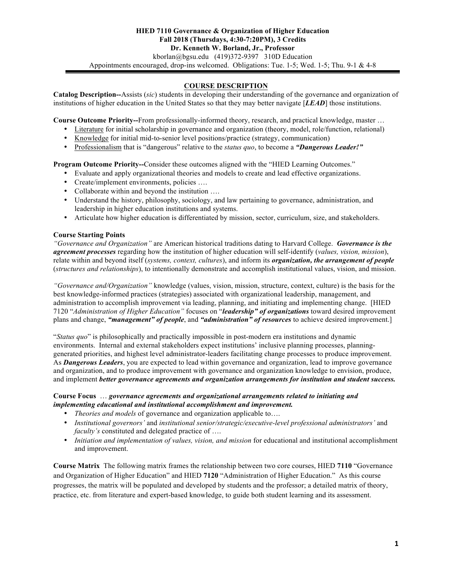# **COURSE DESCRIPTION**

**Catalog Description--**Assists (*sic*) students in developing their understanding of the governance and organization of institutions of higher education in the United States so that they may better navigate [*LEAD*] those institutions.

**Course Outcome Priority--**From professionally-informed theory, research, and practical knowledge, master …

- Literature for initial scholarship in governance and organization (theory, model, role/function, relational)
- Knowledge for initial mid-to-senior level positions/practice (strategy, communication)
- Professionalism that is "dangerous" relative to the *status quo*, to become a *"Dangerous Leader!"*

**Program Outcome Priority--**Consider these outcomes aligned with the "HIED Learning Outcomes."

- Evaluate and apply organizational theories and models to create and lead effective organizations.
- Create/implement environments, policies ....
- Collaborate within and beyond the institution ....
- Understand the history, philosophy, sociology, and law pertaining to governance, administration, and leadership in higher education institutions and systems.
- Articulate how higher education is differentiated by mission, sector, curriculum, size, and stakeholders.

# **Course Starting Points**

*"Governance and Organization"* are American historical traditions dating to Harvard College. *Governance is the agreement processes* regarding how the institution of higher education will self-identify (*values, vision, mission*), relate within and beyond itself (*systems, context, cultures*), and inform its *organization, the arrangement of people* (*structures and relationships*), to intentionally demonstrate and accomplish institutional values, vision, and mission.

*"Governance and/Organization"* knowledge (values, vision, mission, structure, context, culture) is the basis for the best knowledge-informed practices (strategies) associated with organizational leadership, management, and administration to accomplish improvement via leading, planning, and initiating and implementing change. [HIED 7120 "*Administration of Higher Education"* focuses on "*leadership" of organizations* toward desired improvement plans and change, *"management" of people*, and *"administration" of resources* to achieve desired improvement.]

"*Status quo*" is philosophically and practically impossible in post-modern era institutions and dynamic environments. Internal and external stakeholders expect institutions' inclusive planning processes, planninggenerated priorities, and highest level administrator-leaders facilitating change processes to produce improvement. As *Dangerous Leaders*, you are expected to lead within governance and organization, lead to improve governance and organization, and to produce improvement with governance and organization knowledge to envision, produce, and implement *better governance agreements and organization arrangements for institution and student success.*

# **Course Focus** … *governance agreements and organizational arrangements related to initiating and implementing educational and institutional accomplishment and improvement.*

- *Theories and models* of governance and organization applicable to...
- *Institutional governors'* and *institutional senior/strategic/executive-level professional administrators'* and *faculty's* constituted and delegated practice of ....
- *Initiation and implementation of values, vision, and mission* for educational and institutional accomplishment and improvement.

**Course Matrix** The following matrix frames the relationship between two core courses, HIED **7110** "Governance and Organization of Higher Education" and HIED **7120** "Administration of Higher Education." As this course progresses, the matrix will be populated and developed by students and the professor; a detailed matrix of theory, practice, etc. from literature and expert-based knowledge, to guide both student learning and its assessment.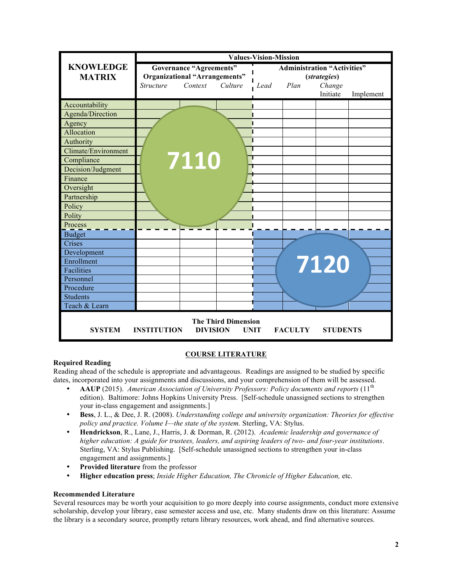|                                                                                                                                          | <b>Values-Vision-Mission</b>         |         |              |                                    |      |          |           |
|------------------------------------------------------------------------------------------------------------------------------------------|--------------------------------------|---------|--------------|------------------------------------|------|----------|-----------|
| <b>KNOWLEDGE</b>                                                                                                                         | <b>Governance "Agreements"</b>       |         |              | <b>Administration "Activities"</b> |      |          |           |
| <b>MATRIX</b>                                                                                                                            | <b>Organizational "Arrangements"</b> |         | (strategies) |                                    |      |          |           |
|                                                                                                                                          | <b>Structure</b>                     | Context | Culture      | Lead                               | Plan | Change   |           |
|                                                                                                                                          |                                      |         |              |                                    |      | Initiate | Implement |
| Accountability                                                                                                                           |                                      |         |              |                                    |      |          |           |
| Agenda/Direction                                                                                                                         |                                      |         |              |                                    |      |          |           |
| Agency                                                                                                                                   |                                      |         |              |                                    |      |          |           |
| Allocation                                                                                                                               |                                      |         |              |                                    |      |          |           |
| Authority                                                                                                                                |                                      |         |              |                                    |      |          |           |
| <b>Climate/Environment</b>                                                                                                               |                                      |         |              |                                    |      |          |           |
| Compliance                                                                                                                               |                                      | 7110    |              |                                    |      |          |           |
| Decision/Judgment                                                                                                                        |                                      |         |              |                                    |      |          |           |
| Finance                                                                                                                                  |                                      |         |              |                                    |      |          |           |
| Oversight                                                                                                                                |                                      |         |              |                                    |      |          |           |
| Partnership                                                                                                                              |                                      |         |              |                                    |      |          |           |
| Policy                                                                                                                                   |                                      |         |              |                                    |      |          |           |
| Polity                                                                                                                                   |                                      |         |              |                                    |      |          |           |
| Process                                                                                                                                  |                                      |         |              |                                    |      |          |           |
| <b>Budget</b>                                                                                                                            |                                      |         |              |                                    |      |          |           |
| Crises                                                                                                                                   |                                      |         |              |                                    |      |          |           |
| Development                                                                                                                              |                                      |         |              |                                    |      |          |           |
| Enrollment                                                                                                                               |                                      |         |              |                                    |      | 7120     |           |
| Facilities                                                                                                                               |                                      |         |              |                                    |      |          |           |
| Personnel                                                                                                                                |                                      |         |              |                                    |      |          |           |
| Procedure                                                                                                                                |                                      |         |              |                                    |      |          |           |
| <b>Students</b>                                                                                                                          |                                      |         |              |                                    |      |          |           |
| Teach & Learn                                                                                                                            |                                      |         |              |                                    |      |          |           |
| <b>The Third Dimension</b><br><b>INSTITUTION</b><br><b>DIVISION</b><br><b>FACULTY</b><br><b>STUDENTS</b><br><b>SYSTEM</b><br><b>UNIT</b> |                                      |         |              |                                    |      |          |           |

# **COURSE LITERATURE**

# **Required Reading**

Reading ahead of the schedule is appropriate and advantageous. Readings are assigned to be studied by specific dates, incorporated into your assignments and discussions, and your comprehension of them will be assessed.

- **AAUP** (2015). *American Association of University Professors: Policy documents and reports* (11th edition). Baltimore: Johns Hopkins University Press. [Self-schedule unassigned sections to strengthen your in-class engagement and assignments.]
- **Bess**, J. L., & Dee, J. R. (2008). *Understanding college and university organization: Theories for effective policy and practice. Volume I—the state of the system.* Sterling, VA: Stylus.
- **Hendrickson**, R., Lane, J., Harris, J. & Dorman, R. (2012). *Academic leadership and governance of higher education: A guide for trustees, leaders, and aspiring leaders of two- and four-year institutions*. Sterling, VA: Stylus Publishing. [Self-schedule unassigned sections to strengthen your in-class engagement and assignments.]
- **Provided literature** from the professor<br>• **Higher education press**: *Inside Higher*
- **Higher education press**; *Inside Higher Education, The Chronicle of Higher Education,* etc.

# **Recommended Literature**

Several resources may be worth your acquisition to go more deeply into course assignments, conduct more extensive scholarship, develop your library, ease semester access and use, etc. Many students draw on this literature: Assume the library is a secondary source, promptly return library resources, work ahead, and find alternative sources.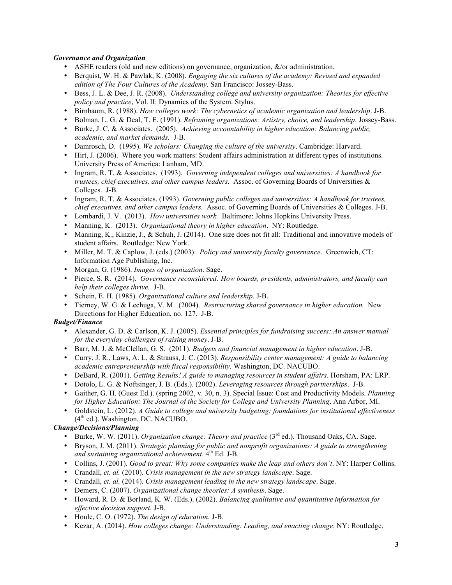# *Governance and Organization*

- ASHE readers (old and new editions) on governance, organization,  $\&$ /or administration.
- Berquist, W. H. & Pawlak, K. (2008). *Engaging the six cultures of the academy: Revised and expanded edition of The Four Cultures of the Academy*. San Francisco: Jossey-Bass.
- Bess, J. L. & Dee, J. R. (2008). *Understanding college and university organization: Theories for effective policy and practice*, Vol. II: Dynamics of the System. Stylus.
- Birnbaum, R. (1988). *How colleges work: The cybernetics of academic organization and leadership*. J-B.
- Bolman, L. G. & Deal, T. E. (1991). *Reframing organizations: Artistry, choice, and leadership*. Jossey-Bass.
- Burke, J. C. & Associates. (2005). *Achieving accountability in higher education: Balancing public, academic, and market demands.* J-B.
- Damrosch, D. (1995). *We scholars: Changing the culture of the university*. Cambridge: Harvard.
- Hirt, J. (2006). Where you work matters: Student affairs administration at different types of institutions. University Press of America: Lanham, MD.
- Ingram, R. T. & Associates. (1993). *Governing independent colleges and universities: A handbook for trustees, chief executives, and other campus leaders.* Assoc. of Governing Boards of Universities & Colleges. J-B.
- Ingram, R. T. & Associates. (1993). *Governing public colleges and universities: A handbook for trustees, chief executives, and other campus leaders.* Assoc. of Governing Boards of Universities & Colleges. J-B.
- Lombardi, J. V. (2013). *How universities work.* Baltimore: Johns Hopkins University Press.
- Manning, K. (2013). *Organizational theory in higher education*. NY: Routledge.
- Manning, K., Kinzie, J., & Schuh, J. (2014). One size does not fit all: Traditional and innovative models of student affairs. Routledge: New York.
- Miller, M. T. & Caplow, J. (eds.) (2003). *Policy and university faculty governance*. Greenwich, CT: Information Age Publishing, Inc.
- Morgan, G. (1986). *Images of organization*. Sage.
- Pierce, S. R. (2014). *Governance reconsidered: How boards, presidents, administrators, and faculty can help their colleges thrive.* J-B.
- Schein, E. H. (1985). *Organizational culture and leadership*. J-B.
- Tierney, W. G. & Lechuga, V. M. (2004). *Restructuring shared governance in higher education.* New Directions for Higher Education, no. 127. J-B.

# *Budget/Finance*

- Alexander, G. D. & Carlson, K. J. (2005). *Essential principles for fundraising success: An answer manual for the everyday challenges of raising money*. J-B.
- Barr, M. J. & McClellan, G. S. (2011). *Budgets and financial management in higher education*. J-B.
- Curry, J. R., Laws, A. L. & Strauss, J. C. (2013). *Responsibility center management: A guide to balancing academic entrepreneurship with fiscal responsibility.* Washington, DC. NACUBO.
- DeBard, R. (2001). *Getting Results! A guide to managing resources in student affairs*. Horsham, PA: LRP.
- Dotolo, L. G. & Noftsinger, J. B. (Eds.). (2002). *Leveraging resources through partnerships*. J-B.
- Gaither, G. H. (Guest Ed.). (spring 2002, v. 30, n. 3). Special Issue: Cost and Productivity Models. *Planning for Higher Education: The Journal of the Society for College and University Planning*. Ann Arbor, MI.
- Goldstein, L. (2012). *A Guide to college and university budgeting: foundations for institutional effectiveness*  $(4<sup>th</sup>$  ed.). Washington, DC. NACUBO.

# *Change/Decisions/Planning*

- Burke, W. W. (2011). *Organization change: Theory and practice* (3<sup>rd</sup> ed.). Thousand Oaks, CA. Sage.
- Bryson, J. M. (2011). *Strategic planning for public and nonprofit organizations: A guide to strengthening*  and sustaining organizational achievement. 4<sup>th</sup> Ed. J-B.
- Collins, J. (2001). *Good to great: Why some companies make the leap and others don't*. NY: Harper Collins.
- Crandall, *et. al.* (2010). *Crisis management in the new strategy landscape*. Sage.
- Crandall, *et. al.* (2014). *Crisis management leading in the new strategy landscape*. Sage.
- Demers, C. (2007). *Organizational change theories: A synthesis*. Sage.
- Howard, R. D. & Borland, K. W. (Eds.). (2002). *Balancing qualitative and quantitative information for effective decision support*. J-B.
- Houle, C. O. (1972). *The design of education*. J-B.
- Kezar, A. (2014). *How colleges change: Understanding. Leading, and enacting change*. NY: Routledge.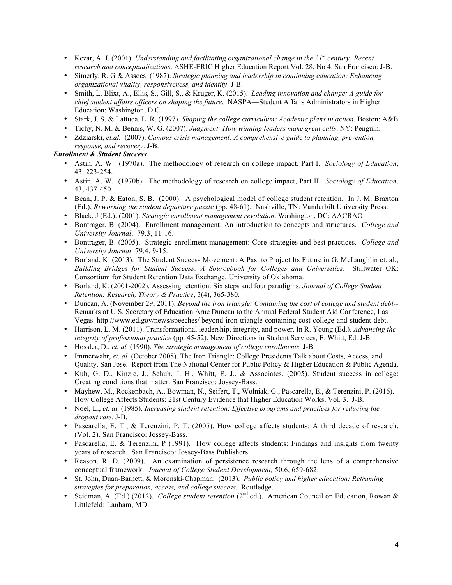- Kezar, A. J. (2001). *Understanding and facilitating organizational change in the 21st century: Recent research and conceptualizations*. ASHE-ERIC Higher Education Report Vol. 28, No 4. San Francisco: J-B.
- Simerly, R. G & Assocs. (1987). *Strategic planning and leadership in continuing education: Enhancing organizational vitality, responsiveness, and identity*. J-B.
- Smith, L. Blixt, A., Ellis, S., Gill, S., & Kruger, K. (2015). *Leading innovation and change: A guide for chief student affairs officers on shaping the future*. NASPA—Student Affairs Administrators in Higher Education: Washington, D.C.
- Stark, J. S. & Lattuca, L. R. (1997). *Shaping the college curriculum: Academic plans in action*. Boston: A&B
- Tichy, N. M. & Bennis, W. G. (2007). *Judgment: How winning leaders make great calls*. NY: Penguin.
- Zdziarski, *et.al.* (2007). *Campus crisis management: A comprehensive guide to planning, prevention, response, and recovery*. J-B.

# *Enrollment & Student Success*

- Astin, A. W. (1970a). The methodology of research on college impact, Part I. *Sociology of Education*, 43, 223-254.
- Astin, A. W. (1970b). The methodology of research on college impact, Part II. *Sociology of Education*, 43, 437-450.
- Bean, J. P. & Eaton, S. B. (2000). A psychological model of college student retention. In J. M. Braxton (Ed.), *Reworking the student departure puzzle* (pp. 48-61). Nashville, TN: Vanderbilt University Press.
- Black, J (Ed.). (2001). *Strategic enrollment management revolution*. Washington, DC: AACRAO
- Bontrager, B. (2004). Enrollment management: An introduction to concepts and structures. *College and University Journal*. 79.3, 11-16.
- Bontrager, B. (2005). Strategic enrollment management: Core strategies and best practices. *College and University Journal.* 79.4, 9-15.
- Borland, K. (2013). The Student Success Movement: A Past to Project Its Future in G. McLaughlin et. al., *Building Bridges for Student Success: A Sourcebook for Colleges and Universities*. Stillwater OK: Consortium for Student Retention Data Exchange, University of Oklahoma.
- Borland, K. (2001-2002). Assessing retention: Six steps and four paradigms. *Journal of College Student Retention: Research, Theory & Practice*, 3(4), 365-380.
- Duncan, A. (November 29, 2011). *Beyond the iron triangle: Containing the cost of college and student debt*-- Remarks of U.S. Secretary of Education Arne Duncan to the Annual Federal Student Aid Conference, Las Vegas. http://www.ed.gov/news/speeches/ beyond-iron-triangle-containing-cost-college-and-student-debt.
- Harrison, L. M. (2011). Transformational leadership, integrity, and power. In R. Young (Ed.). *Advancing the integrity of professional practice* (pp. 45-52). New Directions in Student Services, E. Whitt, Ed. J-B.
- Hossler, D., *et. al.* (1990). *The strategic management of college enrollments*. J-B.
- Immerwahr, *et. al.* (October 2008). The Iron Triangle: College Presidents Talk about Costs, Access, and Quality. San Jose. Report from The National Center for Public Policy & Higher Education & Public Agenda.
- Kuh, G. D., Kinzie, J., Schuh, J. H., Whitt, E. J., & Associates. (2005). Student success in college: Creating conditions that matter. San Francisco: Jossey-Bass.
- Mayhew, M., Rockenbach, A., Bowman, N., Seifert, T., Wolniak, G., Pascarella, E., & Terenzini, P. (2016). How College Affects Students: 21st Century Evidence that Higher Education Works, Vol. 3. J-B.
- Noel, L., *et. al.* (1985). *Increasing student retention: Effective programs and practices for reducing the dropout rate.* J-B.
- Pascarella, E. T., & Terenzini, P. T. (2005). How college affects students: A third decade of research, (Vol. 2). San Francisco: Jossey-Bass.
- Pascarella, E. & Terenzini, P (1991). How college affects students: Findings and insights from twenty years of research. San Francisco: Jossey-Bass Publishers.
- Reason, R. D. (2009). An examination of persistence research through the lens of a comprehensive conceptual framework. *Journal of College Student Development,* 50.6, 659-682.
- St. John, Duan-Barnett, & Moronski-Chapman. (2013). *Public policy and higher education: Reframing strategies for preparation, access, and college success.* Routledge.
- Seidman, A. (Ed.) (2012). *College student retention* (2nd ed.). American Council on Education, Rowan & Littlefeld: Lanham, MD.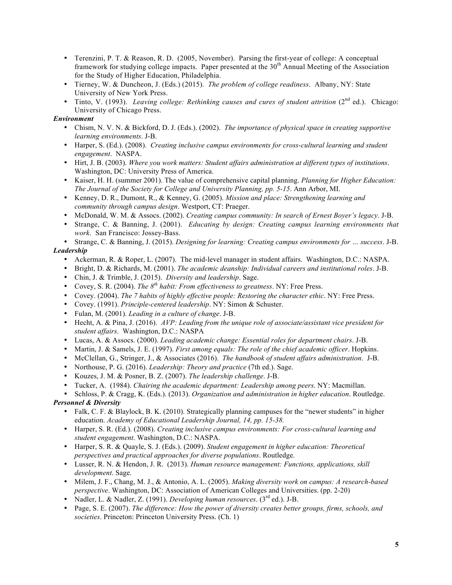- Terenzini, P. T. & Reason, R. D. (2005, November). Parsing the first-year of college: A conceptual framework for studying college impacts. Paper presented at the  $30<sup>th</sup>$  Annual Meeting of the Association for the Study of Higher Education, Philadelphia.
- Tierney, W. & Duncheon, J. (Eds.) (2015). *The problem of college readiness*. Albany, NY: State University of New York Press.
- Tinto, V. (1993). *Leaving college: Rethinking causes and cures of student attrition* (2<sup>nd</sup> ed.). Chicago: University of Chicago Press.

# *Environment*

- Chism, N. V. N. & Bickford, D. J. (Eds.). (2002). *The importance of physical space in creating supportive learning environments*. J-B.
- Harper, S. (Ed.). (2008). *Creating inclusive campus environments for cross-cultural learning and student engagement*. NASPA.
- Hirt, J. B. (2003). *Where you work matters: Student affairs administration at different types of institutions*. Washington, DC: University Press of America.
- Kaiser, H. H. (summer 2001). The value of comprehensive capital planning. *Planning for Higher Education: The Journal of the Society for College and University Planning, pp. 5-15*. Ann Arbor, MI.
- Kenney, D. R., Dumont, R., & Kenney, G. (2005). *Mission and place: Strengthening learning and community through campus design*. Westport, CT: Praeger.
- McDonald, W. M. & Assocs. (2002). *Creating campus community: In search of Ernest Boyer's legacy*. J-B.
- Strange, C. & Banning, J. (2001). *Educating by design: Creating campus learning environments that work*. San Francisco: Jossey-Bass.

• Strange, C. & Banning, J. (2015). *Designing for learning: Creating campus environments for … success*. J-B. *Leadership*

- Ackerman, R. & Roper, L. (2007). The mid-level manager in student affairs. Washington, D.C.: NASPA.
- Bright, D. & Richards, M. (2001). *The academic deanship: Individual careers and institutional roles*. J-B.
- Chin, J. & Trimble, J. (2015). *Diversity and leadership*. Sage.
- Covey, S. R. (2004). *The 8th habit: From effectiveness to greatness*. NY: Free Press.
- Covey. (2004). *The 7 habits of highly effective people: Restoring the character ethic*. NY: Free Press.
- Covey. (1991). *Principle-centered leadership*. NY: Simon & Schuster.
- Fulan, M. (2001). *Leading in a culture of change*. J-B.
- Hecht, A. & Pina, J. (2016). *AVP: Leading from the unique role of associate/assistant vice president for student affairs*. Washington, D.C.: NASPA
- Lucas, A. & Assocs. (2000). *Leading academic change: Essential roles for department chairs*. J-B.
- Martin, J. & Samels, J. E. (1997). *First among equals: The role of the chief academic officer*. Hopkins.
- McClellan, G., Stringer, J., & Associates (2016). *The handbook of student affairs administration*. J-B.
- Northouse, P. G. (2016). *Leadership: Theory and practice* (7th ed.). Sage.
- Kouzes, J. M. & Posner, B. Z. (2007). *The leadership challenge*. J-B.
- Tucker, A. (1984). *Chairing the academic department: Leadership among peers*. NY: Macmillan.
- Schloss, P. & Cragg, K. (Eds.). (2013). *Organization and administration in higher education*. Routledge.

# *Personnel & Diversity*

- Falk, C. F. & Blaylock, B. K. (2010). Strategically planning campuses for the "newer students" in higher education. *Academy of Educational Leadership Journal, 14, pp. 15-38.*
- Harper, S. R. (Ed.). (2008). *Creating inclusive campus environments: For cross-cultural learning and student engagement*. Washington, D.C.: NASPA.
- Harper, S. R. & Quayle, S. J. (Eds.). (2009). *Student engagement in higher education: Theoretical perspectives and practical approaches for diverse populations*. Routledge.
- Lusser, R. N. & Hendon, J. R. (2013). *Human resource management: Functions, applications, skill development*. Sage.
- Milem, J. F., Chang, M. J., & Antonio, A. L. (2005). *Making diversity work on campus: A research-based perspective*. Washington, DC: Association of American Colleges and Universities. (pp. 2-20)
- Nadler, L. & Nadler, Z. (1991). *Developing human resources*. (3rd ed.). J-B.
- Page, S. E. (2007). *The difference: How the power of diversity creates better groups, firms, schools, and societies*. Princeton: Princeton University Press. (Ch. 1)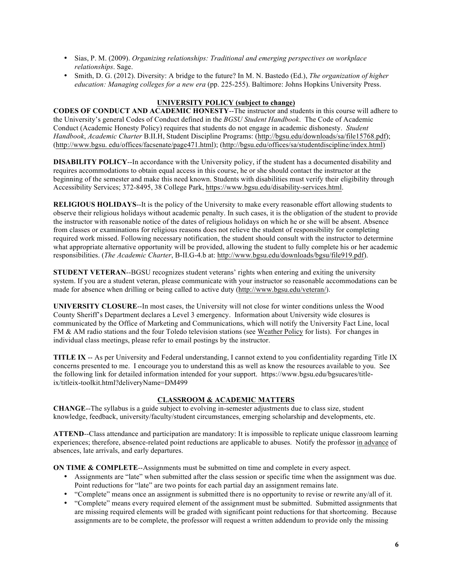- Sias, P. M. (2009). *Organizing relationships: Traditional and emerging perspectives on workplace relationships*. Sage.
- Smith, D. G. (2012). Diversity: A bridge to the future? In M. N. Bastedo (Ed.), *The organization of higher education: Managing colleges for a new era* (pp. 225-255). Baltimore: Johns Hopkins University Press.

# **UNIVERSITY POLICY (subject to change)**

**CODES OF CONDUCT AND ACADEMIC HONESTY**--The instructor and students in this course will adhere to the University's general Codes of Conduct defined in the *BGSU Student Handbook*. The Code of Academic Conduct (Academic Honesty Policy) requires that students do not engage in academic dishonesty. *Student Handbook*, *Academic Charter* B.II.H, Student Discipline Programs: (http://bgsu.edu/downloads/sa/file15768.pdf); (http://www.bgsu. edu/offices/facsenate/page471.html); (http://bgsu.edu/offices/sa/studentdiscipline/index.html)

**DISABILITY POLICY--In accordance with the University policy, if the student has a documented disability and** requires accommodations to obtain equal access in this course, he or she should contact the instructor at the beginning of the semester and make this need known. Students with disabilities must verify their eligibility through Accessibility Services; 372-8495, 38 College Park, https://www.bgsu.edu/disability-services.html.

**RELIGIOUS HOLIDAYS**--It is the policy of the University to make every reasonable effort allowing students to observe their religious holidays without academic penalty. In such cases, it is the obligation of the student to provide the instructor with reasonable notice of the dates of religious holidays on which he or she will be absent. Absence from classes or examinations for religious reasons does not relieve the student of responsibility for completing required work missed. Following necessary notification, the student should consult with the instructor to determine what appropriate alternative opportunity will be provided, allowing the student to fully complete his or her academic responsibilities. (*The Academic Charter*, B-II.G-4.b at: http://www.bgsu.edu/downloads/bgsu/file919.pdf).

**STUDENT VETERAN--BGSU** recognizes student veterans' rights when entering and exiting the university system. If you are a student veteran, please communicate with your instructor so reasonable accommodations can be made for absence when drilling or being called to active duty (http://www.bgsu.edu/veteran/).

**UNIVERSITY CLOSURE**--In most cases, the University will not close for winter conditions unless the Wood County Sheriff's Department declares a Level 3 emergency. Information about University wide closures is communicated by the Office of Marketing and Communications, which will notify the University Fact Line, local FM & AM radio stations and the four Toledo television stations (see Weather Policy for lists). For changes in individual class meetings, please refer to email postings by the instructor.

**TITLE IX** -- As per University and Federal understanding, I cannot extend to you confidentiality regarding Title IX concerns presented to me. I encourage you to understand this as well as know the resources available to you. See the following link for detailed information intended for your support. https://www.bgsu.edu/bgsucares/titleix/titleix-toolkit.html?deliveryName=DM499

# **CLASSROOM & ACADEMIC MATTERS**

**CHANGE**--The syllabus is a guide subject to evolving in-semester adjustments due to class size, student knowledge, feedback, university/faculty/student circumstances, emerging scholarship and developments, etc.

**ATTEND**--Class attendance and participation are mandatory: It is impossible to replicate unique classroom learning experiences; therefore, absence-related point reductions are applicable to abuses. Notify the professor in advance of absences, late arrivals, and early departures.

**ON TIME & COMPLETE--Assignments must be submitted on time and complete in every aspect.** 

- Assignments are "late" when submitted after the class session or specific time when the assignment was due. Point reductions for "late" are two points for each partial day an assignment remains late.
- "Complete" means once an assignment is submitted there is no opportunity to revise or rewrite any/all of it.
- "Complete" means every required element of the assignment must be submitted. Submitted assignments that are missing required elements will be graded with significant point reductions for that shortcoming. Because assignments are to be complete, the professor will request a written addendum to provide only the missing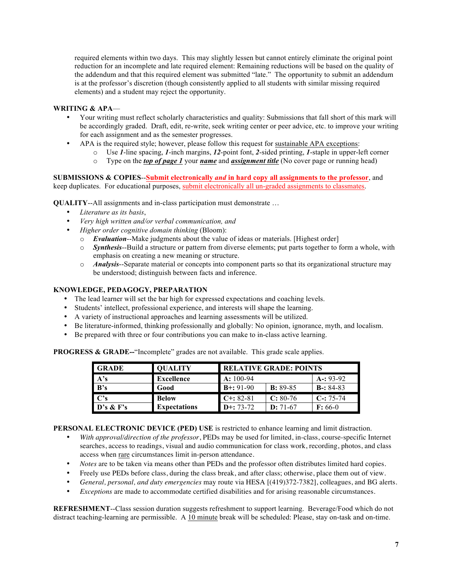required elements within two days. This may slightly lessen but cannot entirely eliminate the original point reduction for an incomplete and late required element: Remaining reductions will be based on the quality of the addendum and that this required element was submitted "late." The opportunity to submit an addendum is at the professor's discretion (though consistently applied to all students with similar missing required elements) and a student may reject the opportunity.

# **WRITING & APA**—

- Your writing must reflect scholarly characteristics and quality: Submissions that fall short of this mark will be accordingly graded. Draft, edit, re-write, seek writing center or peer advice, etc. to improve your writing for each assignment and as the semester progresses.
	- APA is the required style; however, please follow this request for sustainable APA exceptions:
		- o Use *1*-line spacing, *1*-inch margins, *12*-point font, *2*-sided printing, *1*-staple in upper-left corner
		- o Type on the *top of page 1* your *name* and *assignment title* (No cover page or running head)

**SUBMISSIONS & COPIES**--**Submit electronically** *and* **in hard copy all assignments to the professor**, and keep duplicates. For educational purposes, submit electronically all un-graded assignments to classmates.

**QUALITY**--All assignments and in-class participation must demonstrate …

- *Literature as its basis*,
- *Very high written and/or verbal communication, and*
- *Higher order cognitive domain thinking* (Bloom):
	- o *Evaluation*--Make judgments about the value of ideas or materials. [Highest order]
	- o *Synthesis*--Build a structure or pattern from diverse elements; put parts together to form a whole, with emphasis on creating a new meaning or structure.
	- o *Analysis*--Separate material or concepts into component parts so that its organizational structure may be understood; distinguish between facts and inference.

### **KNOWLEDGE, PEDAGOGY, PREPARATION**

- The lead learner will set the bar high for expressed expectations and coaching levels.
- Students' intellect, professional experience, and interests will shape the learning.
- A variety of instructional approaches and learning assessments will be utilized.
- Be literature-informed, thinking professionally and globally: No opinion, ignorance, myth, and localism.
- Be prepared with three or four contributions you can make to in-class active learning.

**PROGRESS & GRADE--**"Incomplete" grades are not available. This grade scale applies.

| <b>GRADE</b>          | <b>OUALITY</b>      | RELATIVE GRADE: POINTS |            |               |  |
|-----------------------|---------------------|------------------------|------------|---------------|--|
| A's                   | <b>Excellence</b>   | $A: 100-94$            |            | $A: 93-92$    |  |
| B's                   | Good                | $B + 91 - 90$          | $B: 89-85$ | $B - 84 - 83$ |  |
| C's                   | <b>Below</b>        | $C + 82 - 81$          | $C: 80-76$ | $C - 75-74$   |  |
| $\mathbf{D}$ 's & F's | <b>Expectations</b> | $D+: 73-72$            | $D: 71-67$ | $F: 66-0$     |  |

**PERSONAL ELECTRONIC DEVICE (PED) USE** is restricted to enhance learning and limit distraction.

- *With approval/direction of the professor*, PEDs may be used for limited, in-class, course-specific Internet searches, access to readings, visual and audio communication for class work, recording, photos, and class access when rare circumstances limit in-person attendance.
- *Notes* are to be taken via means other than PEDs and the professor often distributes limited hard copies.
- Freely use PEDs before class, during the class break, and after class; otherwise, place them out of view.
- *General, personal, and duty emergencies* may route via HESA [(419)372-7382], colleagues, and BG alerts.
- *Exceptions* are made to accommodate certified disabilities and for arising reasonable circumstances.

**REFRESHMENT**--Class session duration suggests refreshment to support learning. Beverage/Food which do not distract teaching-learning are permissible. A 10 minute break will be scheduled: Please, stay on-task and on-time.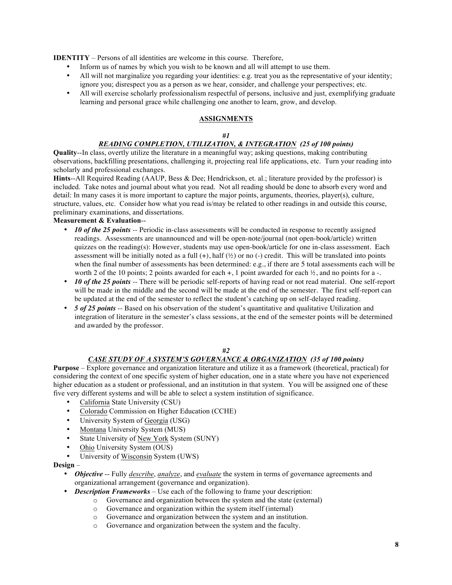**IDENTITY** – Persons of all identities are welcome in this course. Therefore,

- Inform us of names by which you wish to be known and all will attempt to use them.
- All will not marginalize you regarding your identities: e.g. treat you as the representative of your identity; ignore you; disrespect you as a person as we hear, consider, and challenge your perspectives; etc.
- All will exercise scholarly professionalism respectful of persons, inclusive and just, exemplifying graduate learning and personal grace while challenging one another to learn, grow, and develop.

#### **ASSIGNMENTS**

#### *#1*

# *READING COMPLETION, UTILIZATION, & INTEGRATION (25 of 100 points)*

**Quality**--In class, overtly utilize the literature in a meaningful way; asking questions, making contributing observations, backfilling presentations, challenging it, projecting real life applications, etc. Turn your reading into scholarly and professional exchanges.

**Hints**--All Required Reading (AAUP, Bess & Dee; Hendrickson, et. al.; literature provided by the professor) is included. Take notes and journal about what you read. Not all reading should be done to absorb every word and detail: In many cases it is more important to capture the major points, arguments, theories, player(s), culture, structure, values, etc. Consider how what you read is/may be related to other readings in and outside this course, preliminary examinations, and dissertations.

# **Measurement & Evaluation**--

- *10 of the 25 points* -- Periodic in-class assessments will be conducted in response to recently assigned readings. Assessments are unannounced and will be open-note/journal (not open-book/article) written quizzes on the reading(s): However, students may use open-book/article for one in-class assessment. Each assessment will be initially noted as a full  $(+)$ , half  $(\frac{1}{2})$  or no  $(-)$  credit. This will be translated into points when the final number of assessments has been determined: e.g., if there are 5 total assessments each will be worth 2 of the 10 points; 2 points awarded for each  $+$ , 1 point awarded for each  $\frac{1}{2}$ , and no points for a -.
- *10 of the 25 points* -- There will be periodic self-reports of having read or not read material. One self-report will be made in the middle and the second will be made at the end of the semester. The first self-report can be updated at the end of the semester to reflect the student's catching up on self-delayed reading.
- *5 of 25 points* -- Based on his observation of the student's quantitative and qualitative Utilization and integration of literature in the semester's class sessions, at the end of the semester points will be determined and awarded by the professor.

#### *#2*

# *CASE STUDY OF A SYSTEM'S GOVERNANCE & ORGANIZATION (35 of 100 points)*

**Purpose** – Explore governance and organization literature and utilize it as a framework (theoretical, practical) for considering the context of one specific system of higher education, one in a state where you have not experienced higher education as a student or professional, and an institution in that system. You will be assigned one of these five very different systems and will be able to select a system institution of significance.

- California State University (CSU)
- Colorado Commission on Higher Education (CCHE)
- University System of Georgia (USG)
- Montana University System (MUS)
- State University of New York System (SUNY)
- Ohio University System (OUS)
- University of Wisconsin System (UWS)

#### **Design** –

- *Objective* -- Fully *describe*, *analyze*, and *evaluate* the system in terms of governance agreements and organizational arrangement (governance and organization).
- *Description Frameworks* Use each of the following to frame your description:
	- o Governance and organization between the system and the state (external)
	- o Governance and organization within the system itself (internal)
	- $\circ$  Governance and organization between the system and an institution.<br> $\circ$  Governance and organization between the system and the faculty.
	- Governance and organization between the system and the faculty.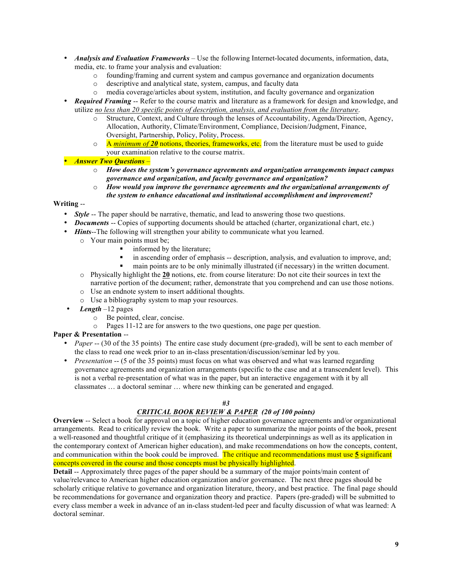- *Analysis and Evaluation Frameworks* Use the following Internet-located documents, information, data, media, etc. to frame your analysis and evaluation:
	- o founding/framing and current system and campus governance and organization documents
	- o descriptive and analytical state, system, campus, and faculty data
	- o media coverage/articles about system, institution, and faculty governance and organization
- *Required Framing* -- Refer to the course matrix and literature as a framework for design and knowledge, and utilize *no less than 20 specific points of description, analysis, and evaluation from the literature*.
	- o Structure, Context, and Culture through the lenses of Accountability, Agenda/Direction, Agency, Allocation, Authority, Climate/Environment, Compliance, Decision/Judgment, Finance, Oversight, Partnership, Policy, Polity, Process.
	- o A *minimum of 20* notions, theories, frameworks, etc. from the literature must be used to guide your examination relative to the course matrix.

#### • *Answer Two Questions* –

- o *How does the system's governance agreements and organization arrangements impact campus governance and organization, and faculty governance and organization?*
- o *How would you improve the governance agreements and the organizational arrangements of the system to enhance educational and institutional accomplishment and improvement?*

#### **Writing** --

- *Style* -- The paper should be narrative, thematic, and lead to answering those two questions.
- *Documents* -- Copies of supporting documents should be attached (charter, organizational chart, etc.)
- *Hints*--The following will strengthen your ability to communicate what you learned.
	- o Your main points must be;
		- informed by the literature:
		- in ascending order of emphasis -- description, analysis, and evaluation to improve, and;
		- main points are to be only minimally illustrated (if necessary) in the written document.
		- o Physically highlight the **20** notions, etc. from course literature: Do not cite their sources in text the narrative portion of the document; rather, demonstrate that you comprehend and can use those notions.
		- o Use an endnote system to insert additional thoughts.
		- o Use a bibliography system to map your resources.
- *Length* –12 pages
	- o Be pointed, clear, concise.
	- o Pages 11-12 are for answers to the two questions, one page per question.

# **Paper & Presentation** --

- *Paper* -- (30 of the 35 points) The entire case study document (pre-graded), will be sent to each member of the class to read one week prior to an in-class presentation/discussion/seminar led by you.
- *Presentation* -- (5 of the 35 points) must focus on what was observed and what was learned regarding governance agreements and organization arrangements (specific to the case and at a transcendent level). This is not a verbal re-presentation of what was in the paper, but an interactive engagement with it by all classmates … a doctoral seminar … where new thinking can be generated and engaged.

#### *#3*

# *CRITICAL BOOK REVIEW & PAPER (20 of 100 points)*

**Overview** -- Select a book for approval on a topic of higher education governance agreements and/or organizational arrangements. Read to critically review the book. Write a paper to summarize the major points of the book, present a well-reasoned and thoughtful critique of it (emphasizing its theoretical underpinnings as well as its application in the contemporary context of American higher education), and make recommendations on how the concepts, content, and communication within the book could be improved. The critique and recommendations must use **5** significant concepts covered in the course and those concepts must be physically highlighted.

**Detail** -- Approximately three pages of the paper should be a summary of the major points/main content of value/relevance to American higher education organization and/or governance. The next three pages should be scholarly critique relative to governance and organization literature, theory, and best practice. The final page should be recommendations for governance and organization theory and practice. Papers (pre-graded) will be submitted to every class member a week in advance of an in-class student-led peer and faculty discussion of what was learned: A doctoral seminar.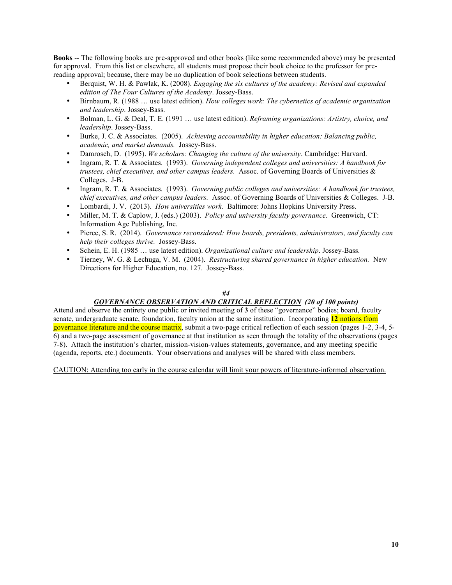**Books** -- The following books are pre-approved and other books (like some recommended above) may be presented for approval. From this list or elsewhere, all students must propose their book choice to the professor for prereading approval; because, there may be no duplication of book selections between students.

- Berquist, W. H. & Pawlak, K. (2008). *Engaging the six cultures of the academy: Revised and expanded edition of The Four Cultures of the Academy*. Jossey-Bass.
- Birnbaum, R. (1988 … use latest edition). *How colleges work: The cybernetics of academic organization and leadership*. Jossey-Bass.
- Bolman, L. G. & Deal, T. E. (1991 … use latest edition). *Reframing organizations: Artistry, choice, and leadership*. Jossey-Bass.
- Burke, J. C. & Associates. (2005). *Achieving accountability in higher education: Balancing public, academic, and market demands.* Jossey-Bass.
- Damrosch, D. (1995). *We scholars: Changing the culture of the university*. Cambridge: Harvard.
- Ingram, R. T. & Associates. (1993). *Governing independent colleges and universities: A handbook for trustees, chief executives, and other campus leaders.* Assoc. of Governing Boards of Universities & Colleges. J-B.
- Ingram, R. T. & Associates. (1993). *Governing public colleges and universities: A handbook for trustees, chief executives, and other campus leaders.* Assoc. of Governing Boards of Universities & Colleges. J-B.
- Lombardi, J. V. (2013). *How universities work.* Baltimore: Johns Hopkins University Press.
- Miller, M. T. & Caplow, J. (eds.) (2003). *Policy and university faculty governance*. Greenwich, CT: Information Age Publishing, Inc.
- Pierce, S. R. (2014). *Governance reconsidered: How boards, presidents, administrators, and faculty can help their colleges thrive.* Jossey-Bass.
- Schein, E. H. (1985 … use latest edition). *Organizational culture and leadership*. Jossey-Bass.
- Tierney, W. G. & Lechuga, V. M. (2004). *Restructuring shared governance in higher education.* New Directions for Higher Education, no. 127. Jossey-Bass.

# *#4*

# *GOVERNANCE OBSERVATION AND CRITICAL REFLECTION (20 of 100 points)*

Attend and observe the entirety one public or invited meeting of **3** of these "governance" bodies; board, faculty senate, undergraduate senate, foundation, faculty union at the same institution. Incorporating **12** notions from governance literature and the course matrix, submit a two-page critical reflection of each session (pages 1-2, 3-4, 5- 6) and a two-page assessment of governance at that institution as seen through the totality of the observations (pages 7-8). Attach the institution's charter, mission-vision-values statements, governance, and any meeting specific (agenda, reports, etc.) documents. Your observations and analyses will be shared with class members.

CAUTION: Attending too early in the course calendar will limit your powers of literature-informed observation.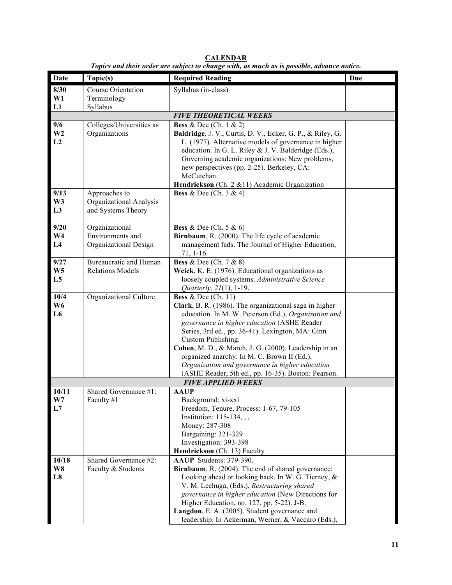| Date           | Topic(s)                 | ropics and ineir order are subject to change with, as much as is possible, auvance houce.<br><b>Required Reading</b> | <b>Due</b> |
|----------------|--------------------------|----------------------------------------------------------------------------------------------------------------------|------------|
| 8/30           | Course Orientation       | Syllabus (in-class)                                                                                                  |            |
| W1             | Terminology              |                                                                                                                      |            |
| L1             | Syllabus                 |                                                                                                                      |            |
|                |                          | <b>FIVE THEORETICAL WEEKS</b>                                                                                        |            |
| 9/6            | Colleges/Universities as | <b>Bess</b> & Dee (Ch. $1 \& 2$ )                                                                                    |            |
| W <sub>2</sub> | Organizations            | Baldridge, J. V., Curtis, D. V., Ecker, G. P., & Riley, G.                                                           |            |
| L2             |                          | L. (1977). Alternative models of governance in higher<br>education. In G. L. Riley & J. V. Balderidge (Eds.),        |            |
|                |                          | Governing academic organizations: New problems,                                                                      |            |
|                |                          | new perspectives (pp. 2-25). Berkeley, CA:                                                                           |            |
|                |                          | McCutchan.                                                                                                           |            |
|                |                          | Hendrickson (Ch. 2 & 11) Academic Organization                                                                       |            |
| 9/13           | Approaches to            | Bess & Dee (Ch. $3 & 4$ )                                                                                            |            |
| W <sub>3</sub> | Organizational Analysis  |                                                                                                                      |            |
| L <sub>3</sub> | and Systems Theory       |                                                                                                                      |            |
| 9/20           | Organizational           |                                                                                                                      |            |
| W <sub>4</sub> | Environments and         | <b>Bess</b> & Dee (Ch. $5$ & 6)<br>Birnbaum, R. (2000). The life cycle of academic                                   |            |
| L4             | Organizational Design    | management fads. The Journal of Higher Education,                                                                    |            |
|                |                          | 71, 1-16.                                                                                                            |            |
| 9/27           | Bureaucratic and Human   | Bess & Dee (Ch. $7 & 8$ )                                                                                            |            |
| W <sub>5</sub> | <b>Relations Models</b>  | Weick, K. E. (1976). Educational organizations as                                                                    |            |
| L <sub>5</sub> |                          | loosely coupled systems. Administrative Science                                                                      |            |
| 10/4           | Organizational Culture   | <i>Quarterly, 21(1), 1-19.</i><br>Bess & Dee (Ch. 11)                                                                |            |
| W <sub>6</sub> |                          | Clark, B. R. (1986). The organizational saga in higher                                                               |            |
| L <sub>6</sub> |                          | education. In M. W. Peterson (Ed.), Organization and                                                                 |            |
|                |                          | governance in higher education (ASHE Reader                                                                          |            |
|                |                          | Series, 3rd ed., pp. 36-41). Lexington, MA: Ginn                                                                     |            |
|                |                          | Custom Publishing.                                                                                                   |            |
|                |                          | Cohen, M. D., & March, J. G. (2000). Leadership in an                                                                |            |
|                |                          | organized anarchy. In M. C. Brown II (Ed.),                                                                          |            |
|                |                          | Organization and governance in higher education                                                                      |            |
|                |                          | (ASHE Reader, 5th ed., pp. 16-35). Boston: Pearson.<br><b>FIVE APPLIED WEEKS</b>                                     |            |
| 10/11          | Shared Governance #1:    | <b>AAUP</b>                                                                                                          |            |
| W7             | Faculty #1               | Background: xi-xxi                                                                                                   |            |
| L7             |                          | Freedom, Tenure, Process: 1-67, 79-105                                                                               |            |
|                |                          | Institution: 115-134, , ,                                                                                            |            |
|                |                          | Money: 287-308                                                                                                       |            |
|                |                          | Bargaining: 321-329                                                                                                  |            |
|                |                          | Investigation: 393-398                                                                                               |            |
| 10/18          | Shared Governance #2:    | Hendrickson (Ch. 13) Faculty<br>AAUP Students: 379-390.                                                              |            |
| W8             | Faculty & Students       | Birnbaum, R. (2004). The end of shared governance:                                                                   |            |
| L8             |                          | Looking ahead or looking back. In W. G. Tierney, &                                                                   |            |
|                |                          | V. M. Lechuga, (Eds.), Restructuring shared                                                                          |            |
|                |                          | governance in higher education (New Directions for                                                                   |            |
|                |                          | Higher Education, no. 127, pp. 5-22). J-B.                                                                           |            |
|                |                          | Langdon, E. A. (2005). Student governance and                                                                        |            |
|                |                          | leadership. In Ackerman, Werner, & Vaccaro (Eds.),                                                                   |            |

**CALENDAR** *Topics and their order are subject to change with, as much as is possible, advance notice.*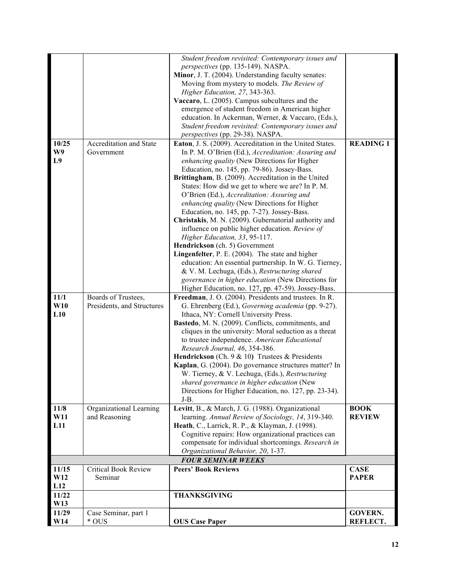|       |                             | Student freedom revisited: Contemporary issues and       |                  |
|-------|-----------------------------|----------------------------------------------------------|------------------|
|       |                             | perspectives (pp. 135-149). NASPA.                       |                  |
|       |                             | Minor, J. T. (2004). Understanding faculty senates:      |                  |
|       |                             | Moving from mystery to models. The Review of             |                  |
|       |                             | Higher Education, 27, 343-363.                           |                  |
|       |                             | Vaccaro, L. (2005). Campus subcultures and the           |                  |
|       |                             | emergence of student freedom in American higher          |                  |
|       |                             | education. In Ackerman, Werner, & Vaccaro, (Eds.),       |                  |
|       |                             | Student freedom revisited: Contemporary issues and       |                  |
|       |                             | perspectives (pp. 29-38). NASPA.                         |                  |
| 10/25 | Accreditation and State     | Eaton, J. S. (2009). Accreditation in the United States. | <b>READING 1</b> |
| W9    | Government                  | In P. M. O'Brien (Ed.), Accreditation: Assuring and      |                  |
| L9    |                             | enhancing quality (New Directions for Higher             |                  |
|       |                             | Education, no. 145, pp. 79-86). Jossey-Bass.             |                  |
|       |                             | Brittingham, B. (2009). Accreditation in the United      |                  |
|       |                             | States: How did we get to where we are? In P. M.         |                  |
|       |                             | O'Brien (Ed.), Accreditation: Assuring and               |                  |
|       |                             | enhancing quality (New Directions for Higher             |                  |
|       |                             |                                                          |                  |
|       |                             | Education, no. 145, pp. 7-27). Jossey-Bass.              |                  |
|       |                             | Christakis, M. N. (2009). Gubernatorial authority and    |                  |
|       |                             | influence on public higher education. Review of          |                  |
|       |                             | Higher Education, 33, 95-117.                            |                  |
|       |                             | Hendrickson (ch. 5) Government                           |                  |
|       |                             | Lingenfelter, P. E. (2004). The state and higher         |                  |
|       |                             | education: An essential partnership. In W. G. Tierney,   |                  |
|       |                             | & V. M. Lechuga, (Eds.), Restructuring shared            |                  |
|       |                             | governance in higher education (New Directions for       |                  |
|       |                             | Higher Education, no. 127, pp. 47-59). Jossey-Bass.      |                  |
| 11/1  | Boards of Trustees,         | Freedman, J. O. (2004). Presidents and trustees. In R.   |                  |
| W10   | Presidents, and Structures  | G. Ehrenberg (Ed.), Governing academia (pp. 9-27).       |                  |
| L10   |                             | Ithaca, NY: Cornell University Press.                    |                  |
|       |                             | Bastedo, M. N. (2009). Conflicts, commitments, and       |                  |
|       |                             | cliques in the university: Moral seduction as a threat   |                  |
|       |                             | to trustee independence. American Educational            |                  |
|       |                             | Research Journal, 46, 354-386.                           |                  |
|       |                             | <b>Hendrickson</b> (Ch. $9 & 10$ ) Trustees & Presidents |                  |
|       |                             | Kaplan, G. (2004). Do governance structures matter? In   |                  |
|       |                             | W. Tierney, & V. Lechuga, (Eds.), Restructuring          |                  |
|       |                             | shared governance in higher education (New               |                  |
|       |                             | Directions for Higher Education, no. 127, pp. 23-34).    |                  |
|       |                             | $J-B.$                                                   |                  |
| 11/8  | Organizational Learning     | Levitt, B., & March, J. G. (1988). Organizational        | <b>BOOK</b>      |
| W11   | and Reasoning               | learning. Annual Review of Sociology, 14, 319-340.       | <b>REVIEW</b>    |
| L11   |                             | Heath, C., Larrick, R. P., & Klayman, J. (1998).         |                  |
|       |                             | Cognitive repairs: How organizational practices can      |                  |
|       |                             | compensate for individual shortcomings. Research in      |                  |
|       |                             | Organizational Behavior, 20, 1-37.                       |                  |
|       |                             | <b>FOUR SEMINAR WEEKS</b>                                |                  |
| 11/15 | <b>Critical Book Review</b> | <b>Peers' Book Reviews</b>                               | <b>CASE</b>      |
| W12   | Seminar                     |                                                          | <b>PAPER</b>     |
| L12   |                             |                                                          |                  |
|       |                             |                                                          |                  |
| 11/22 |                             | <b>THANKSGIVING</b>                                      |                  |
| W13   |                             |                                                          |                  |
| 11/29 | Case Seminar, part 1        |                                                          | <b>GOVERN.</b>   |
| W14   | * OUS                       | <b>OUS Case Paper</b>                                    | <b>REFLECT.</b>  |